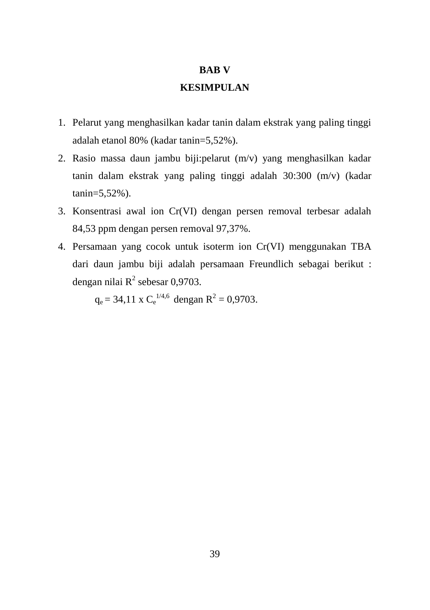## **BAB V**

## **KESIMPULAN**

- 1. Pelarut yang menghasilkan kadar tanin dalam ekstrak yang paling tinggi adalah etanol 80% (kadar tanin=5,52%).
- 2. Rasio massa daun jambu biji:pelarut (m/v) yang menghasilkan kadar tanin dalam ekstrak yang paling tinggi adalah 30:300 (m/v) (kadar tanin=5,52%).
- 3. Konsentrasi awal ion Cr(VI) dengan persen removal terbesar adalah 84,53 ppm dengan persen removal 97,37%.
- 4. Persamaan yang cocok untuk isoterm ion Cr(VI) menggunakan TBA dari daun jambu biji adalah persamaan Freundlich sebagai berikut : dengan nilai  $R^2$  sebesar 0,9703.

 $q_e = 34,11$  x  $C_e^{1/4,6}$  dengan  $R^2 = 0,9703$ .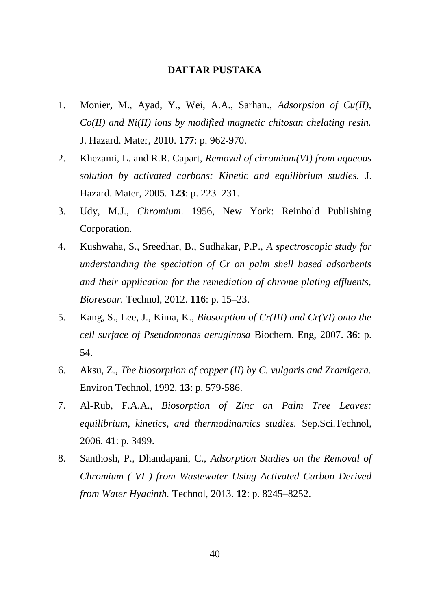## **DAFTAR PUSTAKA**

- 1. Monier, M., Ayad, Y., Wei, A.A., Sarhan., *Adsorpsion of Cu(II), Co(II) and Ni(II) ions by modified magnetic chitosan chelating resin.* J. Hazard. Mater, 2010. **177**: p. 962-970.
- 2. Khezami, L. and R.R. Capart, *Removal of chromium(VI) from aqueous solution by activated carbons: Kinetic and equilibrium studies.* J. Hazard. Mater, 2005. **123**: p. 223–231.
- 3. Udy, M.J., *Chromium*. 1956, New York: Reinhold Publishing Corporation.
- 4. Kushwaha, S., Sreedhar, B., Sudhakar, P.P., *A spectroscopic study for understanding the speciation of Cr on palm shell based adsorbents and their application for the remediation of chrome plating effluents, Bioresour.* Technol, 2012. **116**: p. 15–23.
- 5. Kang, S., Lee, J., Kima, K., *Biosorption of Cr(III) and Cr(VI) onto the cell surface of Pseudomonas aeruginosa* Biochem. Eng, 2007. **36**: p. 54.
- 6. Aksu, Z., *The biosorption of copper (II) by C. vulgaris and Zramigera.* Environ Technol, 1992. **13**: p. 579-586.
- 7. Al-Rub, F.A.A., *Biosorption of Zinc on Palm Tree Leaves: equilibrium, kinetics, and thermodinamics studies.* Sep.Sci.Technol, 2006. **41**: p. 3499.
- 8. Santhosh, P., Dhandapani, C., *Adsorption Studies on the Removal of Chromium ( VI ) from Wastewater Using Activated Carbon Derived from Water Hyacinth.* Technol, 2013. **12**: p. 8245–8252.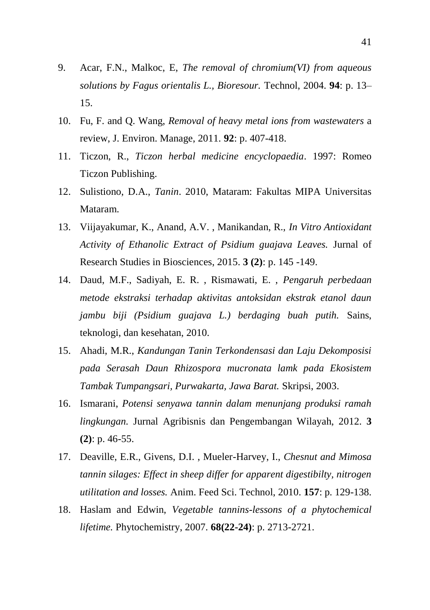- 9. Acar, F.N., Malkoc, E, *The removal of chromium(VI) from aqueous solutions by Fagus orientalis L., Bioresour.* Technol, 2004. **94**: p. 13– 15.
- 10. Fu, F. and Q. Wang, *Removal of heavy metal ions from wastewaters* a review, J. Environ. Manage, 2011. **92**: p. 407-418.
- 11. Ticzon, R., *Ticzon herbal medicine encyclopaedia*. 1997: Romeo Ticzon Publishing.
- 12. Sulistiono, D.A., *Tanin*. 2010, Mataram: Fakultas MIPA Universitas Mataram.
- 13. Viijayakumar, K., Anand, A.V. , Manikandan, R., *In Vitro Antioxidant Activity of Ethanolic Extract of Psidium guajava Leaves.* Jurnal of Research Studies in Biosciences, 2015. **3 (2)**: p. 145 -149.
- 14. Daud, M.F., Sadiyah, E. R. , Rismawati, E. , *Pengaruh perbedaan metode ekstraksi terhadap aktivitas antoksidan ekstrak etanol daun jambu biji (Psidium guajava L.) berdaging buah putih.* Sains, teknologi, dan kesehatan, 2010.
- 15. Ahadi, M.R., *Kandungan Tanin Terkondensasi dan Laju Dekomposisi pada Serasah Daun Rhizospora mucronata lamk pada Ekosistem Tambak Tumpangsari, Purwakarta, Jawa Barat.* Skripsi, 2003.
- 16. Ismarani, *Potensi senyawa tannin dalam menunjang produksi ramah lingkungan.* Jurnal Agribisnis dan Pengembangan Wilayah, 2012. **3 (2)**: p. 46-55.
- 17. Deaville, E.R., Givens, D.I. , Mueler-Harvey, I., *Chesnut and Mimosa tannin silages: Effect in sheep differ for apparent digestibilty, nitrogen utilitation and losses.* Anim. Feed Sci. Technol, 2010. **157**: p. 129-138.
- 18. Haslam and Edwin, *Vegetable tannins-lessons of a phytochemical lifetime.* Phytochemistry, 2007. **68(22-24)**: p. 2713-2721.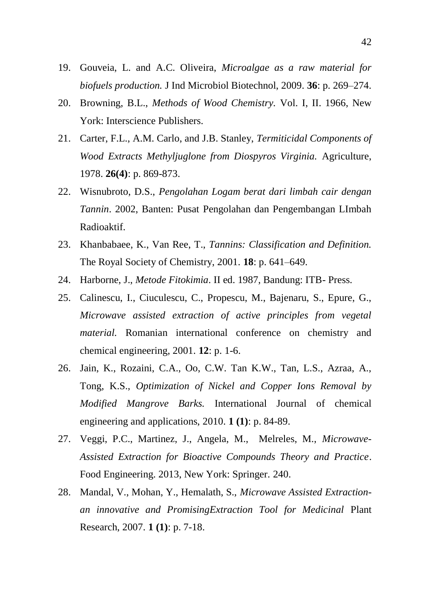- 19. Gouveia, L. and A.C. Oliveira, *Microalgae as a raw material for biofuels production.* J Ind Microbiol Biotechnol, 2009. **36**: p. 269–274.
- 20. Browning, B.L., *Methods of Wood Chemistry.* Vol. I, II. 1966, New York: Interscience Publishers.
- 21. Carter, F.L., A.M. Carlo, and J.B. Stanley, *Termiticidal Components of Wood Extracts Methyljuglone from Diospyros Virginia.* Agriculture, 1978. **26(4)**: p. 869-873.
- 22. Wisnubroto, D.S., *Pengolahan Logam berat dari limbah cair dengan Tannin*. 2002, Banten: Pusat Pengolahan dan Pengembangan LImbah Radioaktif.
- 23. Khanbabaee, K., Van Ree, T., *Tannins: Classification and Definition.* The Royal Society of Chemistry, 2001. **18**: p. 641–649.
- 24. Harborne, J., *Metode Fitokimia*. II ed. 1987, Bandung: ITB- Press.
- 25. Calinescu, I., Ciuculescu, C., Propescu, M., Bajenaru, S., Epure, G., *Microwave assisted extraction of active principles from vegetal material.* Romanian international conference on chemistry and chemical engineering, 2001. **12**: p. 1-6.
- 26. Jain, K., Rozaini, C.A., Oo, C.W. Tan K.W., Tan, L.S., Azraa, A., Tong, K.S., *Optimization of Nickel and Copper Ions Removal by Modified Mangrove Barks.* International Journal of chemical engineering and applications, 2010. **1 (1)**: p. 84-89.
- 27. Veggi, P.C., Martinez, J., Angela, M., Melreles, M., *Microwave-Assisted Extraction for Bioactive Compounds Theory and Practice*. Food Engineering. 2013, New York: Springer. 240.
- 28. Mandal, V., Mohan, Y., Hemalath, S., *Microwave Assisted Extractionan innovative and PromisingExtraction Tool for Medicinal* Plant Research, 2007. **1 (1)**: p. 7-18.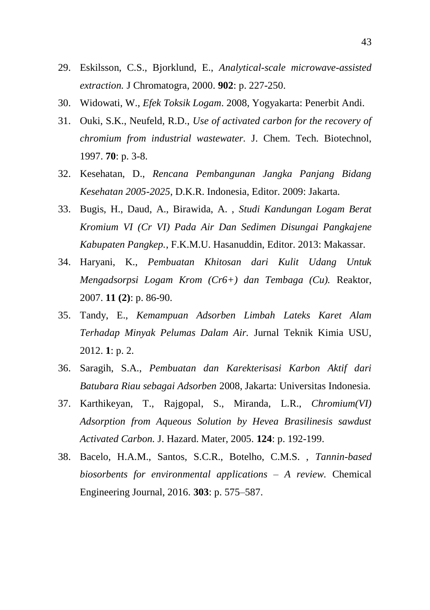- 29. Eskilsson, C.S., Bjorklund, E., *Analytical-scale microwave-assisted extraction.* J Chromatogra, 2000. **902**: p. 227-250.
- 30. Widowati, W., *Efek Toksik Logam*. 2008, Yogyakarta: Penerbit Andi.
- 31. Ouki, S.K., Neufeld, R.D., *Use of activated carbon for the recovery of chromium from industrial wastewater.* J. Chem. Tech. Biotechnol, 1997. **70**: p. 3-8.
- 32. Kesehatan, D., *Rencana Pembangunan Jangka Panjang Bidang Kesehatan 2005-2025*, D.K.R. Indonesia, Editor. 2009: Jakarta.
- 33. Bugis, H., Daud, A., Birawida, A. , *Studi Kandungan Logam Berat Kromium VI (Cr VI) Pada Air Dan Sedimen Disungai Pangkajene Kabupaten Pangkep.*, F.K.M.U. Hasanuddin, Editor. 2013: Makassar.
- 34. Haryani, K., *Pembuatan Khitosan dari Kulit Udang Untuk Mengadsorpsi Logam Krom (Cr6+) dan Tembaga (Cu).* Reaktor, 2007. **11 (2)**: p. 86-90.
- 35. Tandy, E., *Kemampuan Adsorben Limbah Lateks Karet Alam Terhadap Minyak Pelumas Dalam Air.* Jurnal Teknik Kimia USU, 2012. **1**: p. 2.
- 36. Saragih, S.A., *Pembuatan dan Karekterisasi Karbon Aktif dari Batubara Riau sebagai Adsorben* 2008, Jakarta: Universitas Indonesia.
- 37. Karthikeyan, T., Rajgopal, S., Miranda, L.R., *Chromium(VI) Adsorption from Aqueous Solution by Hevea Brasilinesis sawdust Activated Carbon.* J. Hazard. Mater, 2005. **124**: p. 192-199.
- 38. Bacelo, H.A.M., Santos, S.C.R., Botelho, C.M.S. , *Tannin-based biosorbents for environmental applications – A review.* Chemical Engineering Journal, 2016. **303**: p. 575–587.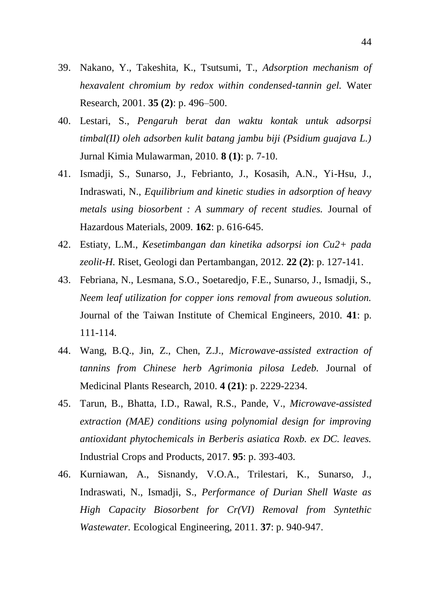- 39. Nakano, Y., Takeshita, K., Tsutsumi, T., *Adsorption mechanism of hexavalent chromium by redox within condensed-tannin gel.* Water Research, 2001. **35 (2)**: p. 496–500.
- 40. Lestari, S., *Pengaruh berat dan waktu kontak untuk adsorpsi timbal(II) oleh adsorben kulit batang jambu biji (Psidium guajava L.)*  Jurnal Kimia Mulawarman, 2010. **8 (1)**: p. 7-10.
- 41. Ismadji, S., Sunarso, J., Febrianto, J., Kosasih, A.N., Yi-Hsu, J., Indraswati, N., *Equilibrium and kinetic studies in adsorption of heavy metals using biosorbent : A summary of recent studies.* Journal of Hazardous Materials, 2009. **162**: p. 616-645.
- 42. Estiaty, L.M., *Kesetimbangan dan kinetika adsorpsi ion Cu2+ pada zeolit-H.* Riset, Geologi dan Pertambangan, 2012. **22 (2)**: p. 127-141.
- 43. Febriana, N., Lesmana, S.O., Soetaredjo, F.E., Sunarso, J., Ismadji, S., *Neem leaf utilization for copper ions removal from awueous solution.* Journal of the Taiwan Institute of Chemical Engineers, 2010. **41**: p. 111-114.
- 44. Wang, B.Q., Jin, Z., Chen, Z.J., *Microwave-assisted extraction of tannins from Chinese herb Agrimonia pilosa Ledeb.* Journal of Medicinal Plants Research, 2010. **4 (21)**: p. 2229-2234.
- 45. Tarun, B., Bhatta, I.D., Rawal, R.S., Pande, V., *Microwave-assisted extraction (MAE) conditions using polynomial design for improving antioxidant phytochemicals in Berberis asiatica Roxb. ex DC. leaves.* Industrial Crops and Products, 2017. **95**: p. 393-403.
- 46. Kurniawan, A., Sisnandy, V.O.A., Trilestari, K., Sunarso, J., Indraswati, N., Ismadji, S., *Performance of Durian Shell Waste as High Capacity Biosorbent for Cr(VI) Removal from Syntethic Wastewater.* Ecological Engineering, 2011. **37**: p. 940-947.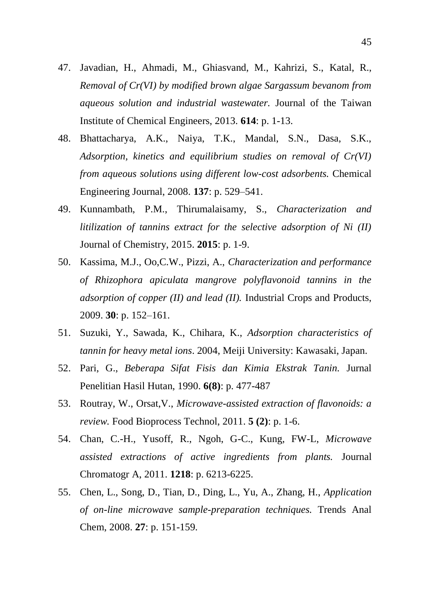- 47. Javadian, H., Ahmadi, M., Ghiasvand, M., Kahrizi, S., Katal, R., *Removal of Cr(VI) by modified brown algae Sargassum bevanom from aqueous solution and industrial wastewater.* Journal of the Taiwan Institute of Chemical Engineers, 2013. **614**: p. 1-13.
- 48. Bhattacharya, A.K., Naiya, T.K., Mandal, S.N., Dasa, S.K., *Adsorption, kinetics and equilibrium studies on removal of Cr(VI) from aqueous solutions using different low-cost adsorbents.* Chemical Engineering Journal, 2008. **137**: p. 529–541.
- 49. Kunnambath, P.M., Thirumalaisamy, S., *Characterization and litilization of tannins extract for the selective adsorption of Ni (II)*  Journal of Chemistry, 2015. **2015**: p. 1-9.
- 50. Kassima, M.J., Oo,C.W., Pizzi, A., *Characterization and performance of Rhizophora apiculata mangrove polyflavonoid tannins in the adsorption of copper (II) and lead (II).* Industrial Crops and Products, 2009. **30**: p. 152–161.
- 51. Suzuki, Y., Sawada, K., Chihara, K., *Adsorption characteristics of tannin for heavy metal ions*. 2004, Meiji University: Kawasaki, Japan.
- 52. Pari, G., *Beberapa Sifat Fisis dan Kimia Ekstrak Tanin.* Jurnal Penelitian Hasil Hutan, 1990. **6(8)**: p. 477-487
- 53. Routray, W., Orsat,V., *Microwave-assisted extraction of flavonoids: a review.* Food Bioprocess Technol, 2011. **5 (2)**: p. 1-6.
- 54. Chan, C.-H., Yusoff, R., Ngoh, G-C., Kung, FW-L, *Microwave assisted extractions of active ingredients from plants.* Journal Chromatogr A, 2011. **1218**: p. 6213-6225.
- 55. Chen, L., Song, D., Tian, D., Ding, L., Yu, A., Zhang, H., *Application of on-line microwave sample-preparation techniques.* Trends Anal Chem, 2008. **27**: p. 151-159.